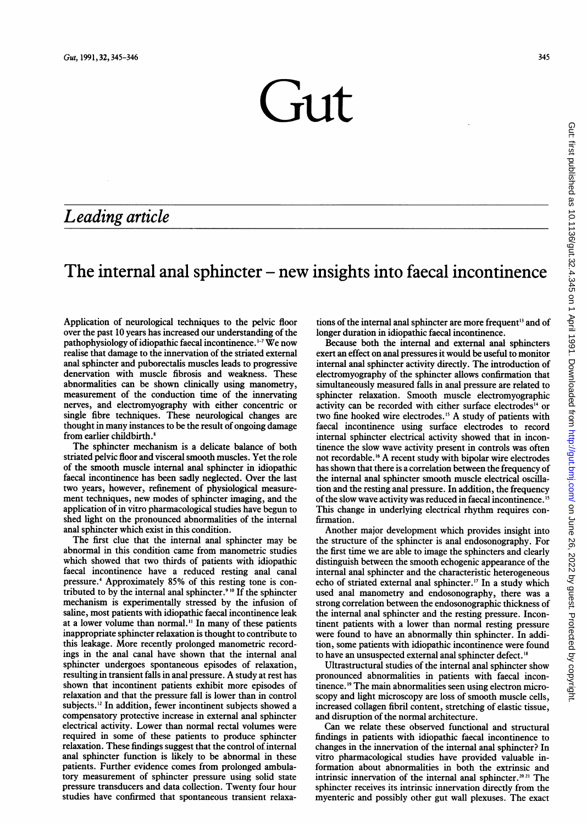$\sqrt{111}$ 

## Leading article

## The internal anal sphincter  $-\neq$  new insights into faecal incontinence

Application of neurological techniques to the pelvic floor over the past 10 years has increased our understanding of the pathophysiology of idiopathic faecal incontinence.<sup>1-7</sup> We now realise that damage to the innervation of the striated external anal sphincter and puborectalis muscles leads to progressive denervation with muscle fibrosis and weakness. These abnormalities can be shown clinically using manometry, measurement of the conduction time of the innervating nerves, and electromyography with either concentric or single fibre techniques. These neurological changes are thought in many instances to be the result of ongoing damage from earlier childbirth.8

The sphincter mechanism is a delicate balance of both striated pelvic floor and visceral smooth muscles. Yet the role of the smooth muscle internal anal sphincter in idiopathic faecal incontinence has been sadly neglected. Over the last two years, however, refinement of physiological measurement techniques, new modes of sphincter imaging, and the application of in vitro pharmacological studies have begun to shed light on the pronounced abnormalities of the internal anal sphincter which exist in this condition.

The first clue that the internal anal sphincter may be abnormal in this condition came from manometric studies which showed that two thirds of patients with idiopathic faecal incontinence have a reduced resting anal canal pressure.4 Approximately 85% of this resting tone is contributed to by the internal anal sphincter.<sup>910</sup> If the sphincter mechanism is experimentally stressed by the infusion of saline, most patients with idiopathic faecal incontinence leak at a lower volume than normal." In many of these patients inappropriate sphincter relaxation is thought to contribute to this leakage. More recently prolonged manometric recordings in the anal canal have shown that the internal anal sphincter undergoes spontaneous episodes of relaxation, resulting in transient falls in anal pressure. A study at rest has shown that incontinent patients exhibit more episodes of relaxation and that the pressure fall is lower than in control subjects.'2 In addition, fewer incontinent subjects showed <sup>a</sup> compensatory protective increase in external anal sphincter electrical activity. Lower than normal rectal volumes were required in some of these patients to produce sphincter relaxation. These findings suggest that the control of internal anal sphincter function is likely to be abnormal in these patients. Further evidence comes from prolonged ambulatory measurement of sphincter pressure using solid state pressure transducers and data collection. Twenty four hour studies have confirmed that spontaneous transient relaxations of the internal anal sphincter are more frequent<sup>13</sup> and of longer duration in idiopathic faecal incontinence.

Because both the internal and external anal sphincters exert an effect on anal pressures it would be useful to monitor internal anal sphincter activity directly. The introduction of electromyography of the sphincter allows confirmation that simultaneously measured falls in anal pressure are related to sphincter relaxation. Smooth muscle electromyographic activity can be recorded with either surface electrodes'4 or two fine hooked wire electrodes.'5 A study of patients with faecal incontinence using surface electrodes to record internal sphincter electrical activity showed that in incontinence the slow wave activity present in controls was often not recordable. <sup>16</sup> A recent study with bipolar wire electrodes has shown that there is a correlation between the frequency of the internal anal sphincter smooth muscle electrical oscillation and the resting anal pressure. In addition, the frequency of the slow wave activity was reduced in faecal incontinence.<sup>15</sup> This change in underlying electrical rhythm requires confirmation.

Another major development which provides insight into the structure of the sphincter is anal endosonography. For the first time we are able to image the sphincters and clearly distinguish between the smooth echogenic appearance of the internal anal sphincter and the characteristic heterogeneous echo of striated external anal sphincter.<sup>17</sup> In a study which used anal manometry and endosonography, there was a strong correlation between the endosonographic thickness of the internal anal sphincter and the resting pressure. Incontinent patients with a lower than normal resting pressure were found to have an abnormally thin sphincter. In addition, some patients with idiopathic incontinence were found to have an unsuspected external anal sphincter defect.<sup>18</sup>

Ultrastructural studies of the internal anal sphincter show pronounced abnormalities in patients with faecal incontinence.<sup>19</sup> The main abnormalities seen using electron microscopy and light microscopy are loss of smooth muscle cells, increased collagen fibril content, stretching of elastic tissue, and disruption of the normal architecture.

Can we relate these observed functional and structural findings in patients with idiopathic faecal incontinence to changes in the innervation of the internal anal sphincter? In vitro pharmacological studies have provided valuable information about abnormalities in both the extrinsic and intrinsic innervation of the internal anal sphincter.<sup>2021</sup> The sphincter receives its intrinsic innervation directly from the myenteric and possibly other gut wall plexuses. The exact